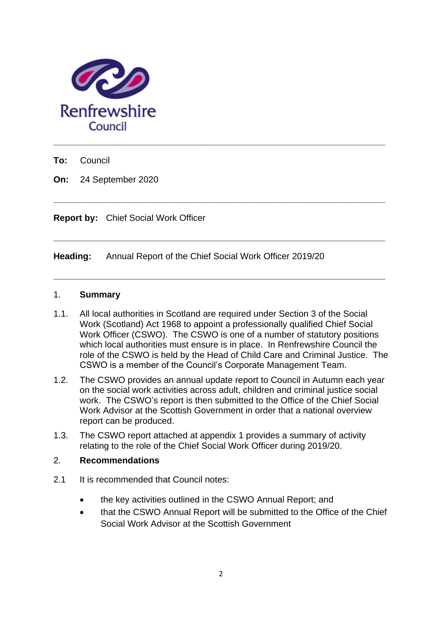

**To:** Council

**On:** 24 September 2020

**Report by:** Chief Social Work Officer

**Heading:** Annual Report of the Chief Social Work Officer 2019/20

#### 1. **Summary**

1.1. All local authorities in Scotland are required under Section 3 of the Social Work (Scotland) Act 1968 to appoint a professionally qualified Chief Social Work Officer (CSWO). The CSWO is one of a number of statutory positions which local authorities must ensure is in place. In Renfrewshire Council the role of the CSWO is held by the Head of Child Care and Criminal Justice. The CSWO is a member of the Council's Corporate Management Team.

**\_\_\_\_\_\_\_\_\_\_\_\_\_\_\_\_\_\_\_\_\_\_\_\_\_\_\_\_\_\_\_\_\_\_\_\_\_\_\_\_\_\_\_\_\_\_\_\_\_\_\_\_\_\_\_\_\_\_\_\_\_\_\_\_\_\_\_**

**\_\_\_\_\_\_\_\_\_\_\_\_\_\_\_\_\_\_\_\_\_\_\_\_\_\_\_\_\_\_\_\_\_\_\_\_\_\_\_\_\_\_\_\_\_\_\_\_\_\_\_\_\_\_\_\_\_\_\_\_\_\_\_\_\_\_\_**

**\_\_\_\_\_\_\_\_\_\_\_\_\_\_\_\_\_\_\_\_\_\_\_\_\_\_\_\_\_\_\_\_\_\_\_\_\_\_\_\_\_\_\_\_\_\_\_\_\_\_\_\_\_\_\_\_\_\_\_\_\_\_\_\_\_\_\_**

- 1.2. The CSWO provides an annual update report to Council in Autumn each year on the social work activities across adult, children and criminal justice social work. The CSWO's report is then submitted to the Office of the Chief Social Work Advisor at the Scottish Government in order that a national overview report can be produced.
- 1.3. The CSWO report attached at appendix 1 provides a summary of activity relating to the role of the Chief Social Work Officer during 2019/20.

### 2. **Recommendations**

- 2.1 It is recommended that Council notes:
	- the key activities outlined in the CSWO Annual Report; and
	- that the CSWO Annual Report will be submitted to the Office of the Chief Social Work Advisor at the Scottish Government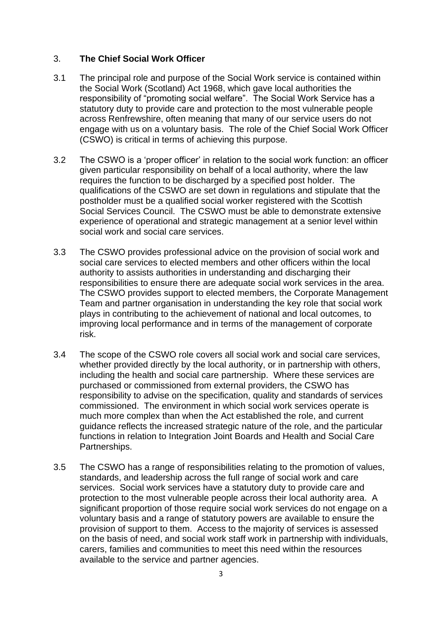### 3. **The Chief Social Work Officer**

- 3.1 The principal role and purpose of the Social Work service is contained within the Social Work (Scotland) Act 1968, which gave local authorities the responsibility of "promoting social welfare". The Social Work Service has a statutory duty to provide care and protection to the most vulnerable people across Renfrewshire, often meaning that many of our service users do not engage with us on a voluntary basis. The role of the Chief Social Work Officer (CSWO) is critical in terms of achieving this purpose.
- 3.2 The CSWO is a 'proper officer' in relation to the social work function: an officer given particular responsibility on behalf of a local authority, where the law requires the function to be discharged by a specified post holder. The qualifications of the CSWO are set down in regulations and stipulate that the postholder must be a qualified social worker registered with the Scottish Social Services Council. The CSWO must be able to demonstrate extensive experience of operational and strategic management at a senior level within social work and social care services.
- 3.3 The CSWO provides professional advice on the provision of social work and social care services to elected members and other officers within the local authority to assists authorities in understanding and discharging their responsibilities to ensure there are adequate social work services in the area. The CSWO provides support to elected members, the Corporate Management Team and partner organisation in understanding the key role that social work plays in contributing to the achievement of national and local outcomes, to improving local performance and in terms of the management of corporate risk.
- 3.4 The scope of the CSWO role covers all social work and social care services, whether provided directly by the local authority, or in partnership with others, including the health and social care partnership. Where these services are purchased or commissioned from external providers, the CSWO has responsibility to advise on the specification, quality and standards of services commissioned. The environment in which social work services operate is much more complex than when the Act established the role, and current guidance reflects the increased strategic nature of the role, and the particular functions in relation to Integration Joint Boards and Health and Social Care Partnerships.
- 3.5 The CSWO has a range of responsibilities relating to the promotion of values, standards, and leadership across the full range of social work and care services. Social work services have a statutory duty to provide care and protection to the most vulnerable people across their local authority area. A significant proportion of those require social work services do not engage on a voluntary basis and a range of statutory powers are available to ensure the provision of support to them. Access to the majority of services is assessed on the basis of need, and social work staff work in partnership with individuals, carers, families and communities to meet this need within the resources available to the service and partner agencies.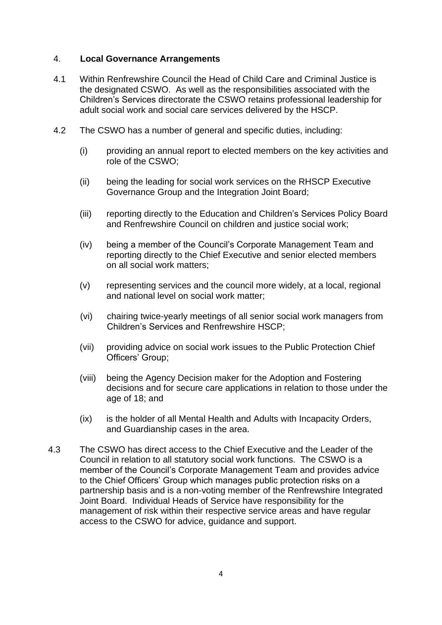### 4. **Local Governance Arrangements**

- 4.1 Within Renfrewshire Council the Head of Child Care and Criminal Justice is the designated CSWO. As well as the responsibilities associated with the Children's Services directorate the CSWO retains professional leadership for adult social work and social care services delivered by the HSCP.
- 4.2 The CSWO has a number of general and specific duties, including:
	- (i) providing an annual report to elected members on the key activities and role of the CSWO;
	- (ii) being the leading for social work services on the RHSCP Executive Governance Group and the Integration Joint Board;
	- (iii) reporting directly to the Education and Children's Services Policy Board and Renfrewshire Council on children and justice social work;
	- (iv) being a member of the Council's Corporate Management Team and reporting directly to the Chief Executive and senior elected members on all social work matters;
	- (v) representing services and the council more widely, at a local, regional and national level on social work matter;
	- (vi) chairing twice-yearly meetings of all senior social work managers from Children's Services and Renfrewshire HSCP;
	- (vii) providing advice on social work issues to the Public Protection Chief Officers' Group;
	- (viii) being the Agency Decision maker for the Adoption and Fostering decisions and for secure care applications in relation to those under the age of 18; and
	- (ix) is the holder of all Mental Health and Adults with Incapacity Orders, and Guardianship cases in the area.
- 4.3 The CSWO has direct access to the Chief Executive and the Leader of the Council in relation to all statutory social work functions. The CSWO is a member of the Council's Corporate Management Team and provides advice to the Chief Officers' Group which manages public protection risks on a partnership basis and is a non-voting member of the Renfrewshire Integrated Joint Board. Individual Heads of Service have responsibility for the management of risk within their respective service areas and have regular access to the CSWO for advice, guidance and support.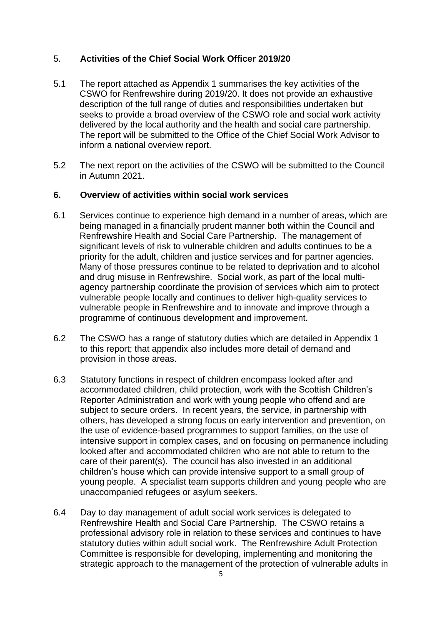### 5. **Activities of the Chief Social Work Officer 2019/20**

- 5.1 The report attached as Appendix 1 summarises the key activities of the CSWO for Renfrewshire during 2019/20. It does not provide an exhaustive description of the full range of duties and responsibilities undertaken but seeks to provide a broad overview of the CSWO role and social work activity delivered by the local authority and the health and social care partnership. The report will be submitted to the Office of the Chief Social Work Advisor to inform a national overview report.
- 5.2 The next report on the activities of the CSWO will be submitted to the Council in Autumn 2021.

### **6. Overview of activities within social work services**

- 6.1 Services continue to experience high demand in a number of areas, which are being managed in a financially prudent manner both within the Council and Renfrewshire Health and Social Care Partnership. The management of significant levels of risk to vulnerable children and adults continues to be a priority for the adult, children and justice services and for partner agencies. Many of those pressures continue to be related to deprivation and to alcohol and drug misuse in Renfrewshire. Social work, as part of the local multiagency partnership coordinate the provision of services which aim to protect vulnerable people locally and continues to deliver high-quality services to vulnerable people in Renfrewshire and to innovate and improve through a programme of continuous development and improvement.
- 6.2 The CSWO has a range of statutory duties which are detailed in Appendix 1 to this report; that appendix also includes more detail of demand and provision in those areas.
- 6.3 Statutory functions in respect of children encompass looked after and accommodated children, child protection, work with the Scottish Children's Reporter Administration and work with young people who offend and are subject to secure orders. In recent years, the service, in partnership with others, has developed a strong focus on early intervention and prevention, on the use of evidence-based programmes to support families, on the use of intensive support in complex cases, and on focusing on permanence including looked after and accommodated children who are not able to return to the care of their parent(s). The council has also invested in an additional children's house which can provide intensive support to a small group of young people. A specialist team supports children and young people who are unaccompanied refugees or asylum seekers.
- 6.4 Day to day management of adult social work services is delegated to Renfrewshire Health and Social Care Partnership. The CSWO retains a professional advisory role in relation to these services and continues to have statutory duties within adult social work. The Renfrewshire Adult Protection Committee is responsible for developing, implementing and monitoring the strategic approach to the management of the protection of vulnerable adults in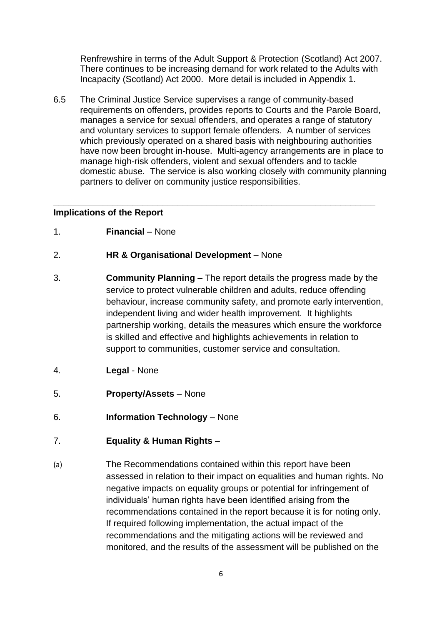Renfrewshire in terms of the Adult Support & Protection (Scotland) Act 2007. There continues to be increasing demand for work related to the Adults with Incapacity (Scotland) Act 2000. More detail is included in Appendix 1.

6.5 The Criminal Justice Service supervises a range of community-based requirements on offenders, provides reports to Courts and the Parole Board, manages a service for sexual offenders, and operates a range of statutory and voluntary services to support female offenders. A number of services which previously operated on a shared basis with neighbouring authorities have now been brought in-house. Multi-agency arrangements are in place to manage high-risk offenders, violent and sexual offenders and to tackle domestic abuse. The service is also working closely with community planning partners to deliver on community justice responsibilities.

**\_\_\_\_\_\_\_\_\_\_\_\_\_\_\_\_\_\_\_\_\_\_\_\_\_\_\_\_\_\_\_\_\_\_\_\_\_\_\_\_\_\_\_\_\_\_\_\_\_\_\_\_\_\_\_\_\_\_\_\_\_\_\_\_\_**

#### **Implications of the Report**

1. **Financial** – None

#### 2. **HR & Organisational Development** – None

- 3. **Community Planning –** The report details the progress made by the service to protect vulnerable children and adults, reduce offending behaviour, increase community safety, and promote early intervention, independent living and wider health improvement. It highlights partnership working, details the measures which ensure the workforce is skilled and effective and highlights achievements in relation to support to communities, customer service and consultation.
- 4. **Legal** None
- 5. **Property/Assets** None
- 6. **Information Technology** None
- 7. **Equality & Human Rights** –
- (a) The Recommendations contained within this report have been assessed in relation to their impact on equalities and human rights. No negative impacts on equality groups or potential for infringement of individuals' human rights have been identified arising from the recommendations contained in the report because it is for noting only. If required following implementation, the actual impact of the recommendations and the mitigating actions will be reviewed and monitored, and the results of the assessment will be published on the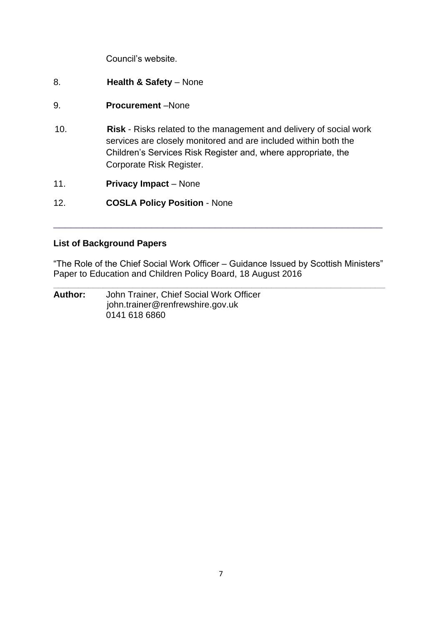Council's website.

- 8. **Health & Safety** None
- 9. **Procurement** –None
- 10. **Risk** Risks related to the management and delivery of social work services are closely monitored and are included within both the Children's Services Risk Register and, where appropriate, the Corporate Risk Register.
- 11. **Privacy Impact** None

12. **COSLA Policy Position** - None

### **List of Background Papers**

"The Role of the Chief Social Work Officer – Guidance Issued by Scottish Ministers" Paper to Education and Children Policy Board, 18 August 2016

**\_\_\_\_\_\_\_\_\_\_\_\_\_\_\_\_\_\_\_\_\_\_\_\_\_\_\_\_\_\_\_\_\_\_\_\_\_\_\_\_\_\_\_\_\_\_\_\_\_\_\_\_\_\_\_\_\_\_\_\_\_\_\_\_\_\_\_**

\_\_\_\_\_\_\_\_\_\_\_\_\_\_\_\_\_\_\_\_\_\_\_\_\_\_\_\_\_\_\_\_\_\_\_\_\_\_\_\_\_\_\_\_\_\_\_\_\_\_\_\_\_\_\_\_\_

**Author:** John Trainer, Chief Social Work Officer john.trainer@renfrewshire.gov.uk 0141 618 6860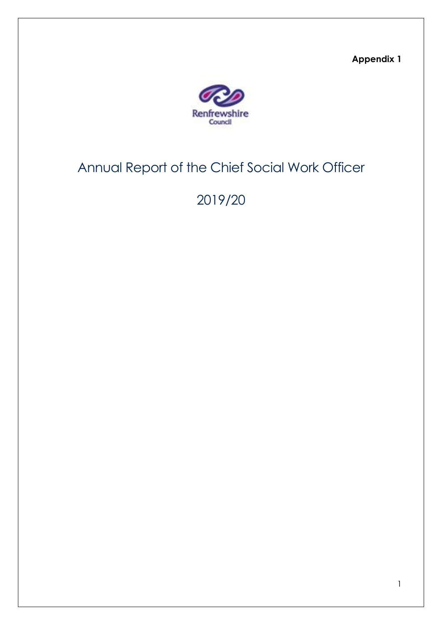**Appendix 1**



# Annual Report of the Chief Social Work Officer

# 2019/20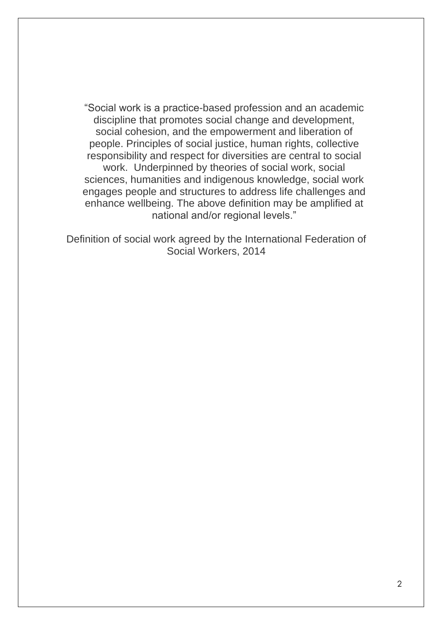"Social work is a practice-based profession and an academic discipline that promotes social change and development, social cohesion, and the empowerment and liberation of people. Principles of social justice, human rights, collective responsibility and respect for diversities are central to social work. Underpinned by theories of social work, social sciences, humanities and indigenous knowledge, social work engages people and structures to address life challenges and enhance wellbeing. The above definition may be amplified at national and/or regional levels."

Definition of social work agreed by the International Federation of Social Workers, 2014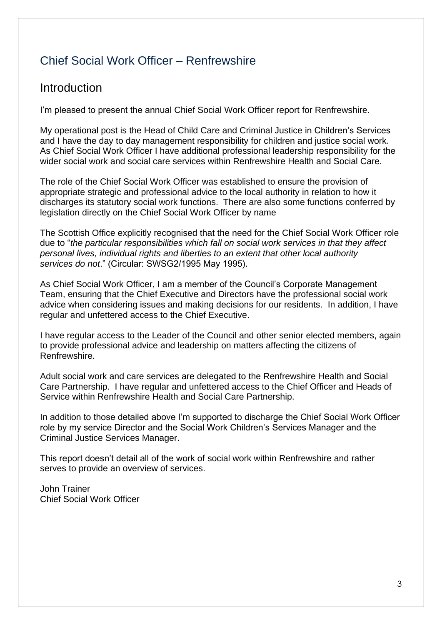# Chief Social Work Officer – Renfrewshire

# Introduction

I'm pleased to present the annual Chief Social Work Officer report for Renfrewshire.

My operational post is the Head of Child Care and Criminal Justice in Children's Services and I have the day to day management responsibility for children and justice social work. As Chief Social Work Officer I have additional professional leadership responsibility for the wider social work and social care services within Renfrewshire Health and Social Care.

The role of the Chief Social Work Officer was established to ensure the provision of appropriate strategic and professional advice to the local authority in relation to how it discharges its statutory social work functions. There are also some functions conferred by legislation directly on the Chief Social Work Officer by name

The Scottish Office explicitly recognised that the need for the Chief Social Work Officer role due to "*the particular responsibilities which fall on social work services in that they affect personal lives, individual rights and liberties to an extent that other local authority services do not*." (Circular: SWSG2/1995 May 1995).

As Chief Social Work Officer, I am a member of the Council's Corporate Management Team, ensuring that the Chief Executive and Directors have the professional social work advice when considering issues and making decisions for our residents. In addition, I have regular and unfettered access to the Chief Executive.

I have regular access to the Leader of the Council and other senior elected members, again to provide professional advice and leadership on matters affecting the citizens of Renfrewshire.

Adult social work and care services are delegated to the Renfrewshire Health and Social Care Partnership. I have regular and unfettered access to the Chief Officer and Heads of Service within Renfrewshire Health and Social Care Partnership.

In addition to those detailed above I'm supported to discharge the Chief Social Work Officer role by my service Director and the Social Work Children's Services Manager and the Criminal Justice Services Manager.

This report doesn't detail all of the work of social work within Renfrewshire and rather serves to provide an overview of services.

John Trainer Chief Social Work Officer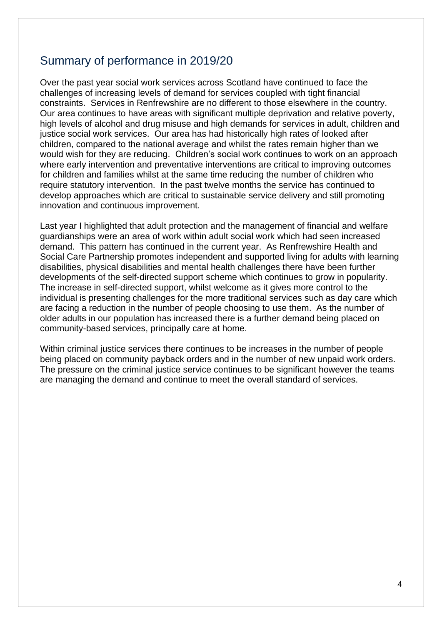# Summary of performance in 2019/20

Over the past year social work services across Scotland have continued to face the challenges of increasing levels of demand for services coupled with tight financial constraints. Services in Renfrewshire are no different to those elsewhere in the country. Our area continues to have areas with significant multiple deprivation and relative poverty, high levels of alcohol and drug misuse and high demands for services in adult, children and justice social work services. Our area has had historically high rates of looked after children, compared to the national average and whilst the rates remain higher than we would wish for they are reducing. Children's social work continues to work on an approach where early intervention and preventative interventions are critical to improving outcomes for children and families whilst at the same time reducing the number of children who require statutory intervention. In the past twelve months the service has continued to develop approaches which are critical to sustainable service delivery and still promoting innovation and continuous improvement.

Last year I highlighted that adult protection and the management of financial and welfare guardianships were an area of work within adult social work which had seen increased demand. This pattern has continued in the current year. As Renfrewshire Health and Social Care Partnership promotes independent and supported living for adults with learning disabilities, physical disabilities and mental health challenges there have been further developments of the self-directed support scheme which continues to grow in popularity. The increase in self-directed support, whilst welcome as it gives more control to the individual is presenting challenges for the more traditional services such as day care which are facing a reduction in the number of people choosing to use them. As the number of older adults in our population has increased there is a further demand being placed on community-based services, principally care at home.

Within criminal justice services there continues to be increases in the number of people being placed on community payback orders and in the number of new unpaid work orders. The pressure on the criminal justice service continues to be significant however the teams are managing the demand and continue to meet the overall standard of services.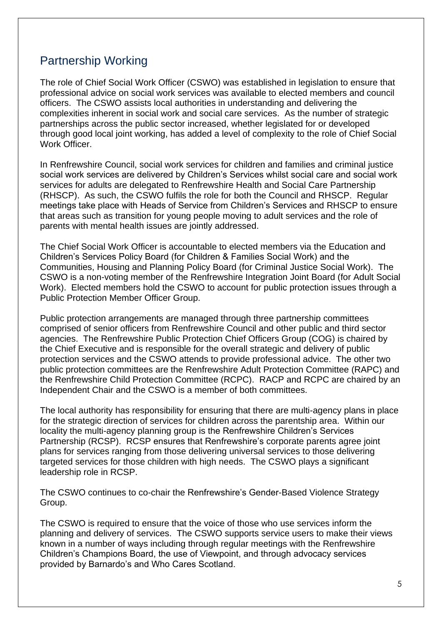# Partnership Working

The role of Chief Social Work Officer (CSWO) was established in legislation to ensure that professional advice on social work services was available to elected members and council officers. The CSWO assists local authorities in understanding and delivering the complexities inherent in social work and social care services. As the number of strategic partnerships across the public sector increased, whether legislated for or developed through good local joint working, has added a level of complexity to the role of Chief Social Work Officer.

In Renfrewshire Council, social work services for children and families and criminal justice social work services are delivered by Children's Services whilst social care and social work services for adults are delegated to Renfrewshire Health and Social Care Partnership (RHSCP). As such, the CSWO fulfils the role for both the Council and RHSCP. Regular meetings take place with Heads of Service from Children's Services and RHSCP to ensure that areas such as transition for young people moving to adult services and the role of parents with mental health issues are jointly addressed.

The Chief Social Work Officer is accountable to elected members via the Education and Children's Services Policy Board (for Children & Families Social Work) and the Communities, Housing and Planning Policy Board (for Criminal Justice Social Work). The CSWO is a non-voting member of the Renfrewshire Integration Joint Board (for Adult Social Work). Elected members hold the CSWO to account for public protection issues through a Public Protection Member Officer Group.

Public protection arrangements are managed through three partnership committees comprised of senior officers from Renfrewshire Council and other public and third sector agencies. The Renfrewshire Public Protection Chief Officers Group (COG) is chaired by the Chief Executive and is responsible for the overall strategic and delivery of public protection services and the CSWO attends to provide professional advice. The other two public protection committees are the Renfrewshire Adult Protection Committee (RAPC) and the Renfrewshire Child Protection Committee (RCPC). RACP and RCPC are chaired by an Independent Chair and the CSWO is a member of both committees.

The local authority has responsibility for ensuring that there are multi-agency plans in place for the strategic direction of services for children across the parentship area. Within our locality the multi-agency planning group is the Renfrewshire Children's Services Partnership (RCSP). RCSP ensures that Renfrewshire's corporate parents agree joint plans for services ranging from those delivering universal services to those delivering targeted services for those children with high needs. The CSWO plays a significant leadership role in RCSP.

The CSWO continues to co-chair the Renfrewshire's Gender-Based Violence Strategy Group.

The CSWO is required to ensure that the voice of those who use services inform the planning and delivery of services. The CSWO supports service users to make their views known in a number of ways including through regular meetings with the Renfrewshire Children's Champions Board, the use of Viewpoint, and through advocacy services provided by Barnardo's and Who Cares Scotland.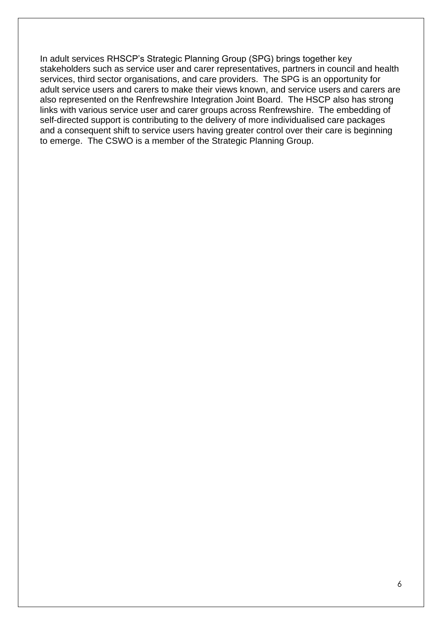In adult services RHSCP's Strategic Planning Group (SPG) brings together key stakeholders such as service user and carer representatives, partners in council and health services, third sector organisations, and care providers. The SPG is an opportunity for adult service users and carers to make their views known, and service users and carers are also represented on the Renfrewshire Integration Joint Board. The HSCP also has strong links with various service user and carer groups across Renfrewshire. The embedding of self-directed support is contributing to the delivery of more individualised care packages and a consequent shift to service users having greater control over their care is beginning to emerge. The CSWO is a member of the Strategic Planning Group.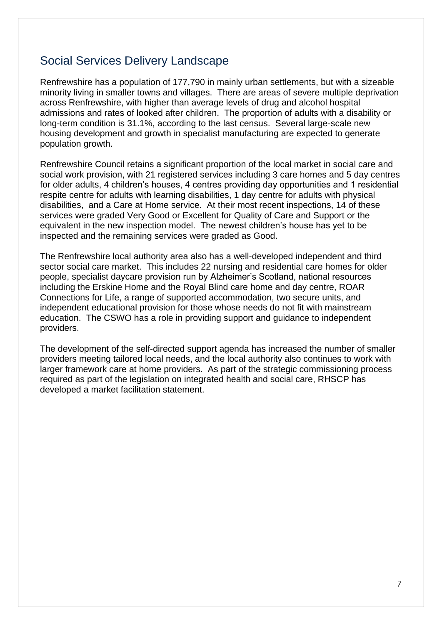# Social Services Delivery Landscape

Renfrewshire has a population of 177,790 in mainly urban settlements, but with a sizeable minority living in smaller towns and villages. There are areas of severe multiple deprivation across Renfrewshire, with higher than average levels of drug and alcohol hospital admissions and rates of looked after children. The proportion of adults with a disability or long-term condition is 31.1%, according to the last census. Several large-scale new housing development and growth in specialist manufacturing are expected to generate population growth.

Renfrewshire Council retains a significant proportion of the local market in social care and social work provision, with 21 registered services including 3 care homes and 5 day centres for older adults, 4 children's houses, 4 centres providing day opportunities and 1 residential respite centre for adults with learning disabilities, 1 day centre for adults with physical disabilities, and a Care at Home service. At their most recent inspections, 14 of these services were graded Very Good or Excellent for Quality of Care and Support or the equivalent in the new inspection model. The newest children's house has yet to be inspected and the remaining services were graded as Good.

The Renfrewshire local authority area also has a well-developed independent and third sector social care market. This includes 22 nursing and residential care homes for older people, specialist daycare provision run by Alzheimer's Scotland, national resources including the Erskine Home and the Royal Blind care home and day centre, ROAR Connections for Life, a range of supported accommodation, two secure units, and independent educational provision for those whose needs do not fit with mainstream education. The CSWO has a role in providing support and guidance to independent providers.

The development of the self-directed support agenda has increased the number of smaller providers meeting tailored local needs, and the local authority also continues to work with larger framework care at home providers. As part of the strategic commissioning process required as part of the legislation on integrated health and social care, RHSCP has developed a market facilitation statement.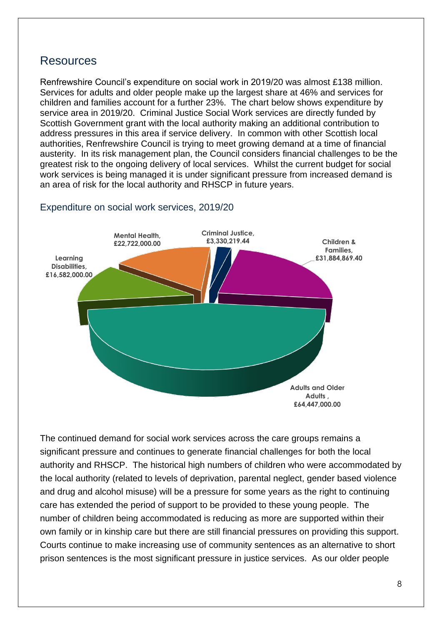### Resources

Renfrewshire Council's expenditure on social work in 2019/20 was almost £138 million. Services for adults and older people make up the largest share at 46% and services for children and families account for a further 23%. The chart below shows expenditure by service area in 2019/20. Criminal Justice Social Work services are directly funded by Scottish Government grant with the local authority making an additional contribution to address pressures in this area if service delivery. In common with other Scottish local authorities, Renfrewshire Council is trying to meet growing demand at a time of financial austerity. In its risk management plan, the Council considers financial challenges to be the greatest risk to the ongoing delivery of local services. Whilst the current budget for social work services is being managed it is under significant pressure from increased demand is an area of risk for the local authority and RHSCP in future years.



### Expenditure on social work services, 2019/20

The continued demand for social work services across the care groups remains a significant pressure and continues to generate financial challenges for both the local authority and RHSCP. The historical high numbers of children who were accommodated by the local authority (related to levels of deprivation, parental neglect, gender based violence and drug and alcohol misuse) will be a pressure for some years as the right to continuing care has extended the period of support to be provided to these young people. The number of children being accommodated is reducing as more are supported within their own family or in kinship care but there are still financial pressures on providing this support. Courts continue to make increasing use of community sentences as an alternative to short prison sentences is the most significant pressure in justice services. As our older people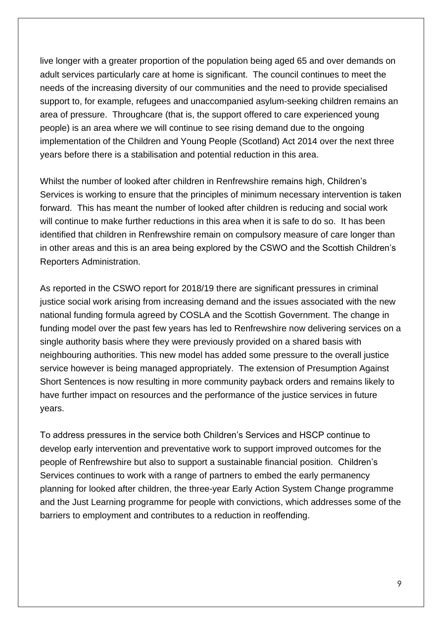live longer with a greater proportion of the population being aged 65 and over demands on adult services particularly care at home is significant. The council continues to meet the needs of the increasing diversity of our communities and the need to provide specialised support to, for example, refugees and unaccompanied asylum-seeking children remains an area of pressure. Throughcare (that is, the support offered to care experienced young people) is an area where we will continue to see rising demand due to the ongoing implementation of the Children and Young People (Scotland) Act 2014 over the next three years before there is a stabilisation and potential reduction in this area.

Whilst the number of looked after children in Renfrewshire remains high, Children's Services is working to ensure that the principles of minimum necessary intervention is taken forward. This has meant the number of looked after children is reducing and social work will continue to make further reductions in this area when it is safe to do so. It has been identified that children in Renfrewshire remain on compulsory measure of care longer than in other areas and this is an area being explored by the CSWO and the Scottish Children's Reporters Administration.

As reported in the CSWO report for 2018/19 there are significant pressures in criminal justice social work arising from increasing demand and the issues associated with the new national funding formula agreed by COSLA and the Scottish Government. The change in funding model over the past few years has led to Renfrewshire now delivering services on a single authority basis where they were previously provided on a shared basis with neighbouring authorities. This new model has added some pressure to the overall justice service however is being managed appropriately. The extension of Presumption Against Short Sentences is now resulting in more community payback orders and remains likely to have further impact on resources and the performance of the justice services in future years.

To address pressures in the service both Children's Services and HSCP continue to develop early intervention and preventative work to support improved outcomes for the people of Renfrewshire but also to support a sustainable financial position. Children's Services continues to work with a range of partners to embed the early permanency planning for looked after children, the three-year Early Action System Change programme and the Just Learning programme for people with convictions, which addresses some of the barriers to employment and contributes to a reduction in reoffending.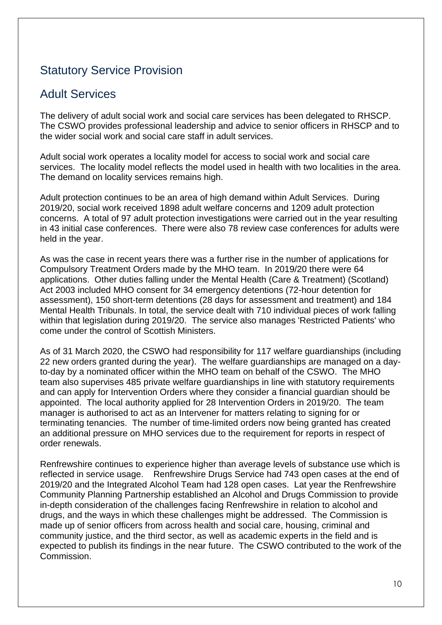# Statutory Service Provision

## Adult Services

The delivery of adult social work and social care services has been delegated to RHSCP. The CSWO provides professional leadership and advice to senior officers in RHSCP and to the wider social work and social care staff in adult services.

Adult social work operates a locality model for access to social work and social care services. The locality model reflects the model used in health with two localities in the area. The demand on locality services remains high.

Adult protection continues to be an area of high demand within Adult Services. During 2019/20, social work received 1898 adult welfare concerns and 1209 adult protection concerns. A total of 97 adult protection investigations were carried out in the year resulting in 43 initial case conferences. There were also 78 review case conferences for adults were held in the year.

As was the case in recent years there was a further rise in the number of applications for Compulsory Treatment Orders made by the MHO team. In 2019/20 there were 64 applications. Other duties falling under the Mental Health (Care & Treatment) (Scotland) Act 2003 included MHO consent for 34 emergency detentions (72-hour detention for assessment), 150 short-term detentions (28 days for assessment and treatment) and 184 Mental Health Tribunals. In total, the service dealt with 710 individual pieces of work falling within that legislation during 2019/20. The service also manages 'Restricted Patients' who come under the control of Scottish Ministers.

As of 31 March 2020, the CSWO had responsibility for 117 welfare guardianships (including 22 new orders granted during the year). The welfare guardianships are managed on a dayto-day by a nominated officer within the MHO team on behalf of the CSWO. The MHO team also supervises 485 private welfare guardianships in line with statutory requirements and can apply for Intervention Orders where they consider a financial guardian should be appointed. The local authority applied for 28 Intervention Orders in 2019/20. The team manager is authorised to act as an Intervener for matters relating to signing for or terminating tenancies. The number of time-limited orders now being granted has created an additional pressure on MHO services due to the requirement for reports in respect of order renewals.

Renfrewshire continues to experience higher than average levels of substance use which is reflected in service usage. Renfrewshire Drugs Service had 743 open cases at the end of 2019/20 and the Integrated Alcohol Team had 128 open cases. Lat year the Renfrewshire Community Planning Partnership established an Alcohol and Drugs Commission to provide in-depth consideration of the challenges facing Renfrewshire in relation to alcohol and drugs, and the ways in which these challenges might be addressed. The Commission is made up of senior officers from across health and social care, housing, criminal and community justice, and the third sector, as well as academic experts in the field and is expected to publish its findings in the near future. The CSWO contributed to the work of the Commission.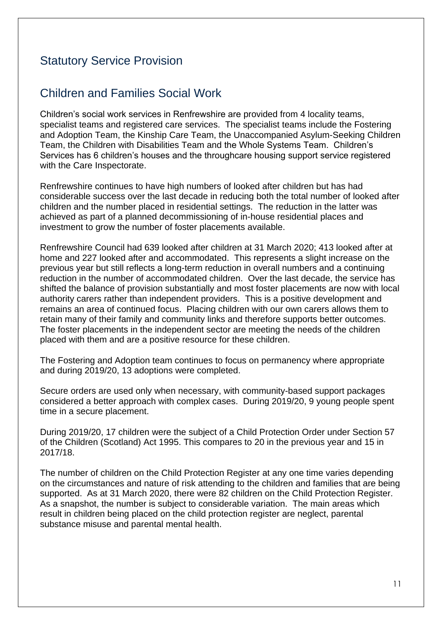# Statutory Service Provision

## Children and Families Social Work

Children's social work services in Renfrewshire are provided from 4 locality teams, specialist teams and registered care services. The specialist teams include the Fostering and Adoption Team, the Kinship Care Team, the Unaccompanied Asylum-Seeking Children Team, the Children with Disabilities Team and the Whole Systems Team. Children's Services has 6 children's houses and the throughcare housing support service registered with the Care Inspectorate.

Renfrewshire continues to have high numbers of looked after children but has had considerable success over the last decade in reducing both the total number of looked after children and the number placed in residential settings. The reduction in the latter was achieved as part of a planned decommissioning of in-house residential places and investment to grow the number of foster placements available.

Renfrewshire Council had 639 looked after children at 31 March 2020; 413 looked after at home and 227 looked after and accommodated. This represents a slight increase on the previous year but still reflects a long-term reduction in overall numbers and a continuing reduction in the number of accommodated children. Over the last decade, the service has shifted the balance of provision substantially and most foster placements are now with local authority carers rather than independent providers. This is a positive development and remains an area of continued focus. Placing children with our own carers allows them to retain many of their family and community links and therefore supports better outcomes. The foster placements in the independent sector are meeting the needs of the children placed with them and are a positive resource for these children.

The Fostering and Adoption team continues to focus on permanency where appropriate and during 2019/20, 13 adoptions were completed.

Secure orders are used only when necessary, with community-based support packages considered a better approach with complex cases. During 2019/20, 9 young people spent time in a secure placement.

During 2019/20, 17 children were the subject of a Child Protection Order under Section 57 of the Children (Scotland) Act 1995. This compares to 20 in the previous year and 15 in 2017/18.

The number of children on the Child Protection Register at any one time varies depending on the circumstances and nature of risk attending to the children and families that are being supported. As at 31 March 2020, there were 82 children on the Child Protection Register. As a snapshot, the number is subject to considerable variation. The main areas which result in children being placed on the child protection register are neglect, parental substance misuse and parental mental health.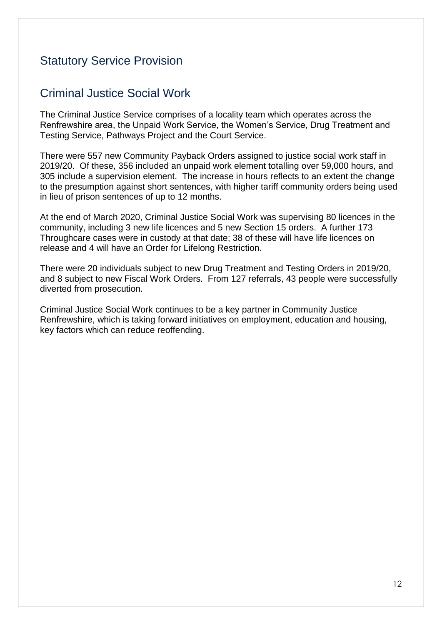# Statutory Service Provision

# Criminal Justice Social Work

The Criminal Justice Service comprises of a locality team which operates across the Renfrewshire area, the Unpaid Work Service, the Women's Service, Drug Treatment and Testing Service, Pathways Project and the Court Service.

There were 557 new Community Payback Orders assigned to justice social work staff in 2019/20. Of these, 356 included an unpaid work element totalling over 59,000 hours, and 305 include a supervision element. The increase in hours reflects to an extent the change to the presumption against short sentences, with higher tariff community orders being used in lieu of prison sentences of up to 12 months.

At the end of March 2020, Criminal Justice Social Work was supervising 80 licences in the community, including 3 new life licences and 5 new Section 15 orders. A further 173 Throughcare cases were in custody at that date; 38 of these will have life licences on release and 4 will have an Order for Lifelong Restriction.

There were 20 individuals subject to new Drug Treatment and Testing Orders in 2019/20, and 8 subject to new Fiscal Work Orders. From 127 referrals, 43 people were successfully diverted from prosecution.

Criminal Justice Social Work continues to be a key partner in Community Justice Renfrewshire, which is taking forward initiatives on employment, education and housing, key factors which can reduce reoffending.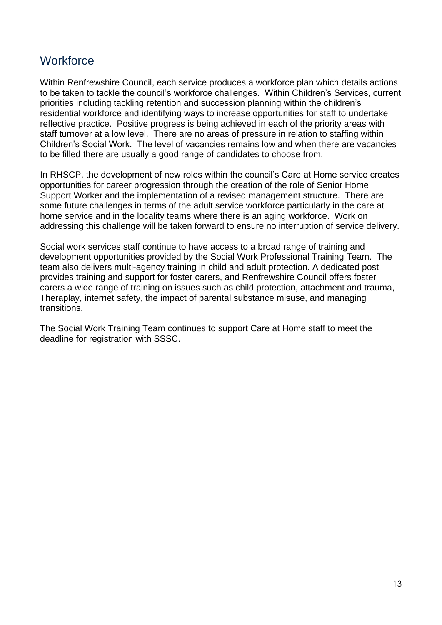# **Workforce**

Within Renfrewshire Council, each service produces a workforce plan which details actions to be taken to tackle the council's workforce challenges. Within Children's Services, current priorities including tackling retention and succession planning within the children's residential workforce and identifying ways to increase opportunities for staff to undertake reflective practice. Positive progress is being achieved in each of the priority areas with staff turnover at a low level. There are no areas of pressure in relation to staffing within Children's Social Work. The level of vacancies remains low and when there are vacancies to be filled there are usually a good range of candidates to choose from.

In RHSCP, the development of new roles within the council's Care at Home service creates opportunities for career progression through the creation of the role of Senior Home Support Worker and the implementation of a revised management structure. There are some future challenges in terms of the adult service workforce particularly in the care at home service and in the locality teams where there is an aging workforce. Work on addressing this challenge will be taken forward to ensure no interruption of service delivery.

Social work services staff continue to have access to a broad range of training and development opportunities provided by the Social Work Professional Training Team. The team also delivers multi-agency training in child and adult protection. A dedicated post provides training and support for foster carers, and Renfrewshire Council offers foster carers a wide range of training on issues such as child protection, attachment and trauma, Theraplay, internet safety, the impact of parental substance misuse, and managing transitions.

The Social Work Training Team continues to support Care at Home staff to meet the deadline for registration with SSSC.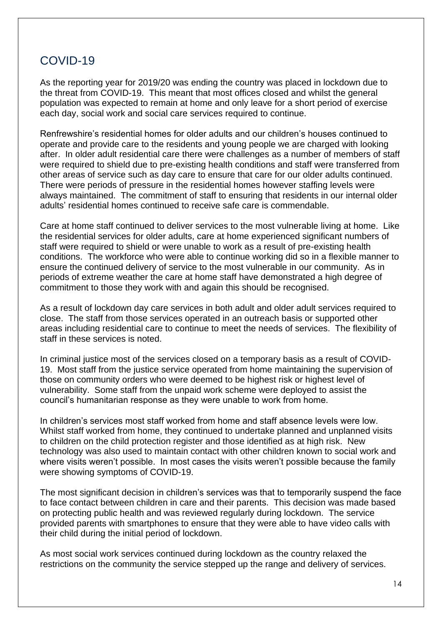# COVID-19

As the reporting year for 2019/20 was ending the country was placed in lockdown due to the threat from COVID-19. This meant that most offices closed and whilst the general population was expected to remain at home and only leave for a short period of exercise each day, social work and social care services required to continue.

Renfrewshire's residential homes for older adults and our children's houses continued to operate and provide care to the residents and young people we are charged with looking after. In older adult residential care there were challenges as a number of members of staff were required to shield due to pre-existing health conditions and staff were transferred from other areas of service such as day care to ensure that care for our older adults continued. There were periods of pressure in the residential homes however staffing levels were always maintained. The commitment of staff to ensuring that residents in our internal older adults' residential homes continued to receive safe care is commendable.

Care at home staff continued to deliver services to the most vulnerable living at home. Like the residential services for older adults, care at home experienced significant numbers of staff were required to shield or were unable to work as a result of pre-existing health conditions. The workforce who were able to continue working did so in a flexible manner to ensure the continued delivery of service to the most vulnerable in our community. As in periods of extreme weather the care at home staff have demonstrated a high degree of commitment to those they work with and again this should be recognised.

As a result of lockdown day care services in both adult and older adult services required to close. The staff from those services operated in an outreach basis or supported other areas including residential care to continue to meet the needs of services. The flexibility of staff in these services is noted.

In criminal justice most of the services closed on a temporary basis as a result of COVID-19. Most staff from the justice service operated from home maintaining the supervision of those on community orders who were deemed to be highest risk or highest level of vulnerability. Some staff from the unpaid work scheme were deployed to assist the council's humanitarian response as they were unable to work from home.

In children's services most staff worked from home and staff absence levels were low. Whilst staff worked from home, they continued to undertake planned and unplanned visits to children on the child protection register and those identified as at high risk. New technology was also used to maintain contact with other children known to social work and where visits weren't possible. In most cases the visits weren't possible because the family were showing symptoms of COVID-19.

The most significant decision in children's services was that to temporarily suspend the face to face contact between children in care and their parents. This decision was made based on protecting public health and was reviewed regularly during lockdown. The service provided parents with smartphones to ensure that they were able to have video calls with their child during the initial period of lockdown.

As most social work services continued during lockdown as the country relaxed the restrictions on the community the service stepped up the range and delivery of services.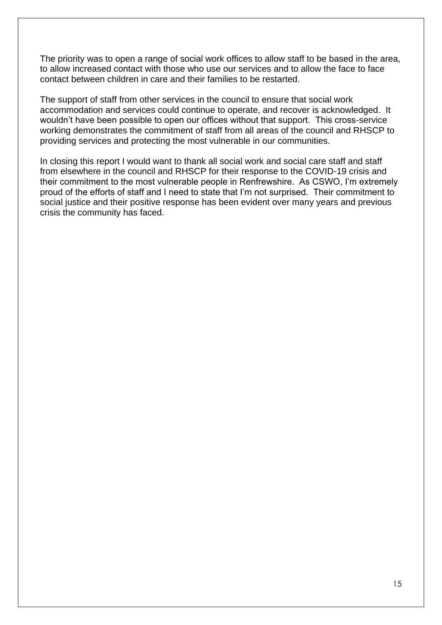The priority was to open a range of social work offices to allow staff to be based in the area, to allow increased contact with those who use our services and to allow the face to face contact between children in care and their families to be restarted.

The support of staff from other services in the council to ensure that social work accommodation and services could continue to operate, and recover is acknowledged. It wouldn't have been possible to open our offices without that support. This cross-service working demonstrates the commitment of staff from all areas of the council and RHSCP to providing services and protecting the most vulnerable in our communities.

In closing this report I would want to thank all social work and social care staff and staff from elsewhere in the council and RHSCP for their response to the COVID-19 crisis and their commitment to the most vulnerable people in Renfrewshire. As CSWO, I'm extremely proud of the efforts of staff and I need to state that I'm not surprised. Their commitment to social justice and their positive response has been evident over many years and previous crisis the community has faced.